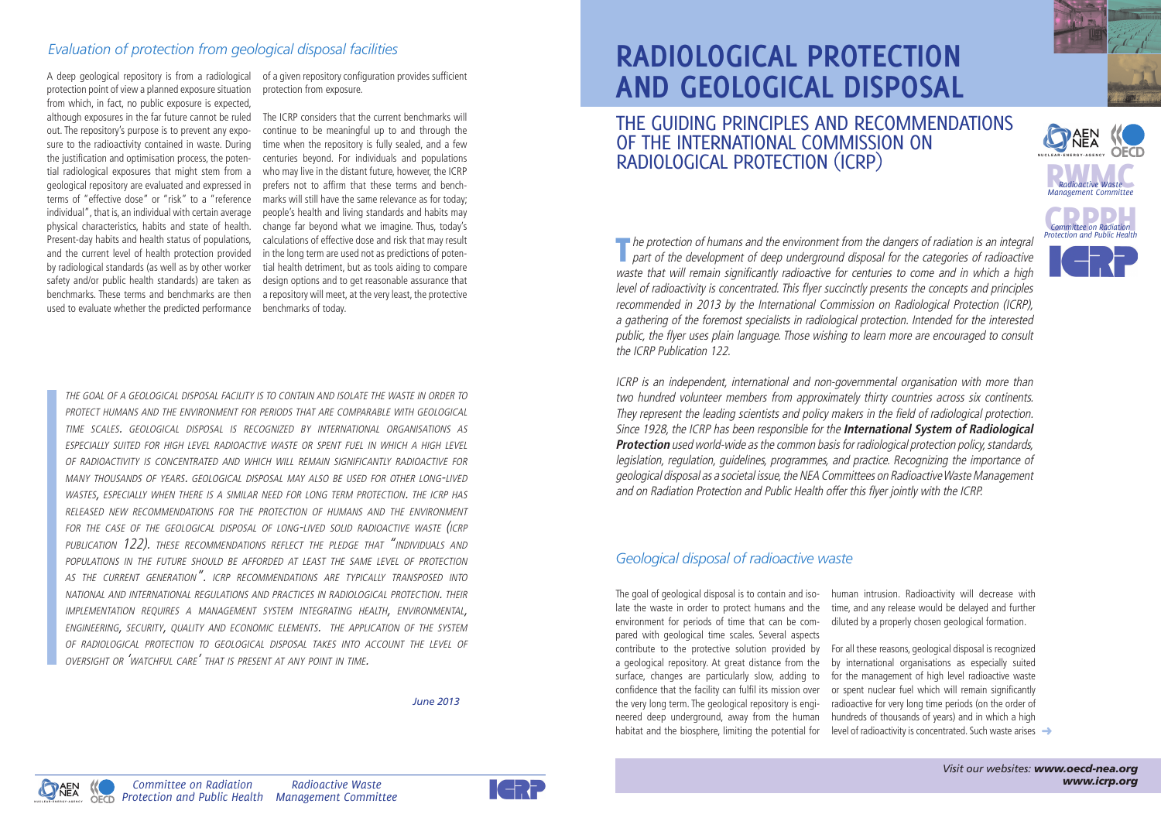The protection of humans and the environment from the dangers of radiation is an integral part of the development of deep underground disposal for the categories of radioactive waste that will remain significantly radioactive for centuries to come and in which a high level of radioactivity is concentrated. This flyer succinctly presents the concepts and principles recommended in 2013 by the International Commission on Radiological Protection (ICRP), a gathering of the foremost specialists in radiological protection. Intended for the interested public, the flyer uses plain language. Those wishing to learn more are encouraged to consult the ICRP Publication 122.

ICRP is an independent, international and non-governmental organisation with more than two hundred volunteer members from approximately thirty countries across six continents. They represent the leading scientists and policy makers in the field of radiological protection. Since 1928, the ICRP has been responsible for the **International System of Radiological Protection** used world-wide as the common basis for radiological protection policy, standards, legislation, regulation, guidelines, programmes, and practice. Recognizing the importance of geological disposal as a societal issue, the NEA Committees on Radioactive Waste Management and on Radiation Protection and Public Health offer this flyer jointly with the ICRP.

> For all these reasons, geological disposal is recognized by international organisations as especially suited for the management of high level radioactive waste or spent nuclear fuel which will remain significantly radioactive for very long time periods (on the order of hundreds of thousands of years) and in which a high level of radioactivity is concentrated. Such waste arises →

**Radioactive Waste**<br> **Management Committee** *Management Committee*

**Committee on Radiation**<br>**Protection and Public Health** 

## **RADIOLOGICAL PROTECTION AND GEOLOGICAL DISPOSAL** THE GUIDING PRINCIPLES AND RECOMMENDATIONS OF THE INTERNATIONAL COMMISSION ON RADIOLOGICAL PROTECTION (ICRP)

## *Geological disposal of radioactive waste*

The goal of geological disposal is to contain and isolate the waste in order to protect humans and the environment for periods of time that can be compared with geological time scales. Several aspects contribute to the protective solution provided by a geological repository. At great distance from the surface, changes are particularly slow, adding to confidence that the facility can fulfil its mission over the very long term. The geological repository is engineered deep underground, away from the human habitat and the biosphere, limiting the potential for

human intrusion. Radioactivity will decrease with time, and any release would be delayed and further diluted by a properly chosen geological formation.



**N U C L E A R • E N E R G Y • A G E N C Y**

the goal of a geological disposal facility is to contain and isolate the waste in order to protect humans and the environment for periods that are comparable with geological time scales. geological disposal is recognized by international organisations as especially suited for high level radioactive waste or spent fuel in which a high level of radioactivity is concentrated and which will remain significantly radioactive for many thousands of years. geological disposal may also be used for other long-lived wastes, especially when there is a similar need for long term protection. the icrp has released new recommendations for the protection of humans and the environment for the case of the geological disposal of long-lived solid radioactive waste (icrp publication 122). these recommendations reflect the pledge that "individuals and populations in the future should be afforded at least the same level of protection as the current generation". icrp recommendations are typically transposed into national and international regulations and practices in radiological protection. their implementation requires a management system integrating health, environmental, engineering, security, quality and economic elements. the application of the system of radiological protection to geological disposal takes into account the level of oversight or 'watchful care' that is present at any point in time.

*Radioactive Waste*



*June 2013*

A deep geological repository is from a radiological protection point of view a planned exposure situation from which, in fact, no public exposure is expected, although exposures in the far future cannot be ruled out. The repository's purpose is to prevent any exposure to the radioactivity contained in waste. During the justification and optimisation process, the potential radiological exposures that might stem from a geological repository are evaluated and expressed in terms of "effective dose" or "risk" to a "reference individual", that is, an individual with certain average physical characteristics, habits and state of health. Present-day habits and health status of populations, and the current level of health protection provided by radiological standards (as well as by other worker safety and/or public health standards) are taken as benchmarks. These terms and benchmarks are then used to evaluate whether the predicted performance

of a given repository configuration provides sufficient protection from exposure.

The ICRP considers that the current benchmarks will continue to be meaningful up to and through the time when the repository is fully sealed, and a few centuries beyond. For individuals and populations who may live in the distant future, however, the ICRP prefers not to affirm that these terms and benchmarks will still have the same relevance as for today; people's health and living standards and habits may change far beyond what we imagine. Thus, today's calculations of effective dose and risk that may result in the long term are used not as predictions of potential health detriment, but as tools aiding to compare design options and to get reasonable assurance that a repository will meet, at the very least, the protective benchmarks of today.

## *Evaluation of protection from geological disposal facilities*